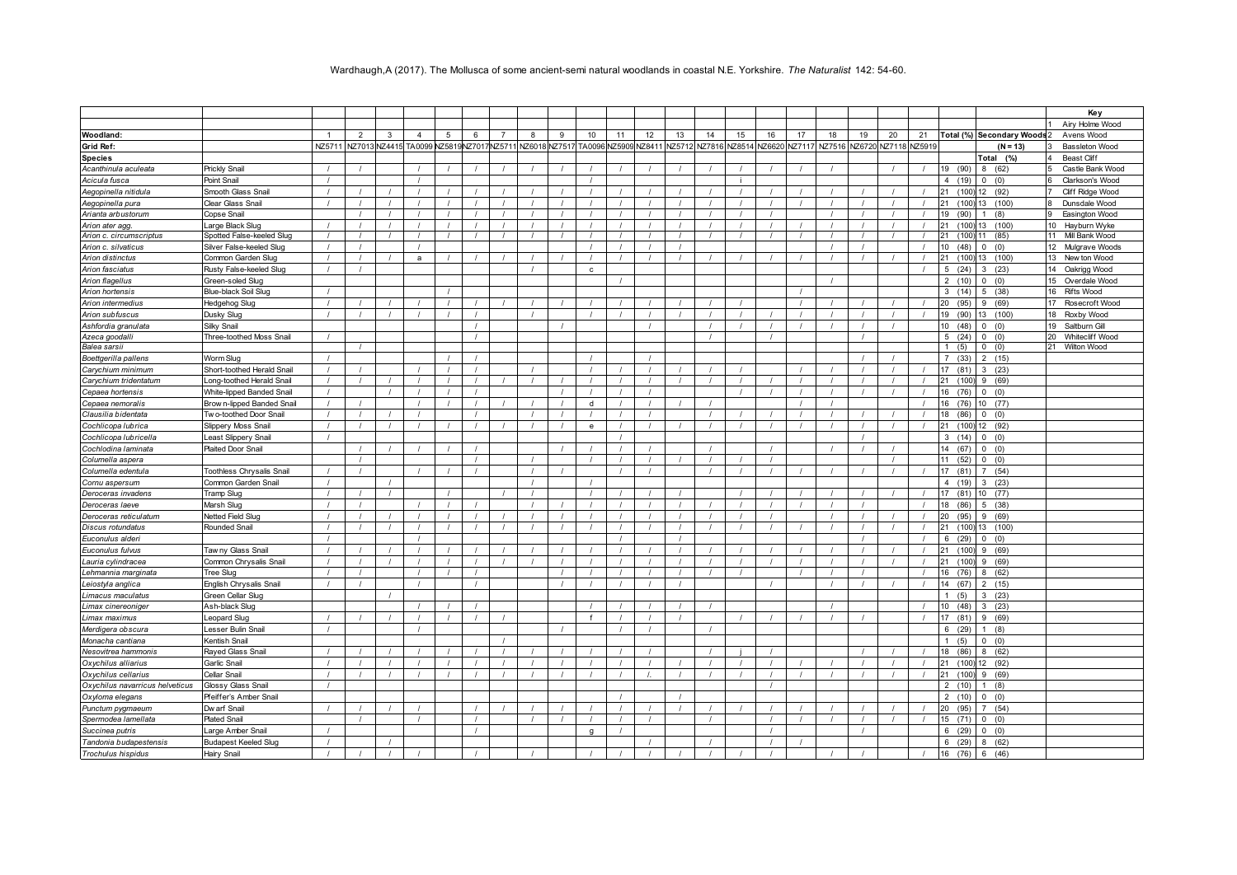## Wardhaugh,A (2017). The Mollusca of some ancient-semi natural woodlands in coastal N.E. Yorkshire. *The Naturalist* 142: 54-60.

|                                 |                                  |                |   |   |                                         |   |          |   |   |                      |          |               |        |          |        |        |        |               |    |              |          |                          |                             | Key                   |
|---------------------------------|----------------------------------|----------------|---|---|-----------------------------------------|---|----------|---|---|----------------------|----------|---------------|--------|----------|--------|--------|--------|---------------|----|--------------|----------|--------------------------|-----------------------------|-----------------------|
|                                 |                                  |                |   |   |                                         |   |          |   |   |                      |          |               |        |          |        |        |        |               |    |              |          |                          |                             | Airy Holme Wood       |
| Woodland:                       |                                  | $\overline{1}$ | 2 | 3 | $\overline{4}$                          | 5 | 6        | 8 | 9 | 10                   | 11       | 12            | 13     | 14       | 15     | 16     | 17     | 18            | 19 | 20           | 21       |                          | Total (%) Secondary Woods 2 | Avens Wood            |
| Grid Ref:                       |                                  | NZ5711         |   |   | NZ7013 NZ4415 TA0099 NZ5819NZ7017NZ5711 |   |          |   |   | NZ6018 NZ7517 TA0096 |          | VZ5909 NZ8411 | NZ5712 | NZ7816   | VZ8514 | NZ6620 | NZ7117 | NZ7516 NZ6720 |    | NZ7118 NZ591 |          |                          | $(N = 13)$                  | <b>Bassleton Wood</b> |
| <b>Species</b>                  |                                  |                |   |   |                                         |   |          |   |   |                      |          |               |        |          |        |        |        |               |    |              |          |                          | Total (%)                   | <b>Beast Cliff</b>    |
| Acanthinula aculeata            | Prickly Snail                    |                |   |   |                                         |   |          |   |   |                      |          |               |        |          |        |        |        |               |    |              |          | 19 (90)                  | 8<br>(62)                   | Castle Bank Wood      |
| Acicula fusca                   | Point Snail                      |                |   |   |                                         |   |          |   |   |                      |          |               |        |          |        |        |        |               |    |              |          | 4(19)                    | $\mathbf 0$<br>(0)          | Clarkson's Wood       |
| Aegopinella nitidula            | Smooth Glass Snail               |                |   |   |                                         |   |          |   |   |                      |          |               |        |          |        |        |        |               |    |              |          | 21<br>(100)              | (92)                        | Cliff Ridge Wood      |
| Aegopinella pura                | Clear Glass Snail                |                |   |   |                                         |   |          |   |   |                      |          |               |        |          |        |        |        |               |    |              |          | 21<br>(100)              | (100)                       | Dunsdale Wood         |
| Arianta arbustorum              | <b>Copse Snail</b>               |                |   |   |                                         |   |          |   |   |                      |          |               |        |          |        |        |        |               |    |              |          | 19<br>(90)               | (8)                         | Easington Wood        |
| Arion ater agg.                 | Large Black Slug                 |                |   |   |                                         |   |          |   |   |                      |          |               |        |          |        |        |        |               |    |              |          | (100)<br>21              | (100)<br>13                 | 10 Hayburn Wyke       |
| Arion c. circumscriptus         | Spotted False-keeled Slug        |                |   |   |                                         |   |          |   |   |                      |          |               |        |          |        |        |        |               |    |              |          | 21<br>(100)              | (85)                        | 11 Mill Bank Wood     |
| Arion c. silvaticus             | Silver False-keeled Sluc         |                |   |   |                                         |   |          |   |   |                      |          |               |        |          |        |        |        |               |    |              |          | (48)<br>10 <sup>10</sup> | $\mathbf{0}$<br>(0)         | 12 Mulgrave Woods     |
| Arion distinctus                | Common Garden Slug               |                |   |   | $\mathsf{a}$                            |   |          |   |   |                      |          |               |        |          |        |        |        |               |    |              |          | 21<br>(100)              | (100)<br>13.                | 13 New ton Wood       |
| Arion fasciatus                 | Rusty False-keeled Slug          |                |   |   |                                         |   |          |   |   | $\mathbf{c}$         |          |               |        |          |        |        |        |               |    |              |          | 5 <sup>5</sup><br>(24)   | $\mathbf{B}$<br>(23)        | 14 Oakrigg Wood       |
| Arion flagellus                 | Green-soled Slug                 |                |   |   |                                         |   |          |   |   |                      |          |               |        |          |        |        |        |               |    |              |          | 2(10)                    | 0(0)                        | 15 Overdale Wood      |
| Arion hortensis                 | Blue-black Soil Slug             |                |   |   |                                         |   |          |   |   |                      |          |               |        |          |        |        |        |               |    |              |          | 3(14)                    | (38)<br>$5^{\circ}$         | 16 Rifts Wood         |
| Arion intermedius               | <b>Hedgehog Slug</b>             |                |   |   |                                         |   |          |   |   |                      |          |               |        |          |        |        |        |               |    |              |          | 20<br>(95)               | (69)<br>9                   | 17 Rosecroft Wood     |
| Arion subfuscus                 | Dusky Slug                       |                |   |   |                                         |   |          |   |   |                      |          |               |        |          |        |        |        |               |    |              |          | 19<br>(90)               | 13<br>(100)                 | 18 Roxby Wood         |
| Ashfordia granulata             | Silky Snail                      |                |   |   |                                         |   |          |   |   |                      |          |               |        |          |        |        |        |               |    |              |          | 10(48)                   | 0(0)                        | Saltburn Gill<br>19   |
| Azeca goodalli                  | Three-toothed Moss Snail         |                |   |   |                                         |   |          |   |   |                      |          |               |        |          |        |        |        |               |    |              |          | $5^{\circ}$<br>(24)      | $\mathbf{0}$<br>(0)         | 20 Whitecliff Wood    |
| Balea sarsii                    |                                  |                |   |   |                                         |   |          |   |   |                      |          |               |        |          |        |        |        |               |    |              |          | $\mathbf{1}$<br>(5)      | $\mathbf{0}$<br>(0)         | Wilton Wood<br>21     |
| Boettgerilla pallens            | Worm Slug                        |                |   |   |                                         |   |          |   |   |                      |          |               |        |          |        |        |        |               |    |              |          | 7(33)                    | 2(15)                       |                       |
| Carychium minimum               | Short-toothed Herald Snail       |                |   |   |                                         |   |          |   |   |                      |          |               |        |          |        |        |        |               |    |              |          | 17 (81)                  | 3(23)                       |                       |
| Carychium tridentatum           | Long-toothed Herald Snail        | $\prime$       |   |   |                                         |   | $\prime$ |   |   |                      | $\prime$ |               |        | $\prime$ |        |        |        |               |    | $\prime$     | $\prime$ | 21<br>(100)              | 9<br>(69)                   |                       |
| Cepaea hortensis                | White-lipped Banded Snail        |                |   |   |                                         |   |          |   |   |                      |          |               |        |          |        |        |        |               |    |              |          | 16 (76)                  | 0(0)                        |                       |
| Cepaea nemoralis                | Brow n-lipped Banded Snail       |                |   |   |                                         |   |          |   |   | d                    |          |               |        |          |        |        |        |               |    |              |          | 16 (76)                  | 10 (77)                     |                       |
| Clausilia bidentata             | Two-toothed Door Snail           |                |   |   |                                         |   |          |   |   |                      |          |               |        |          |        |        |        |               |    |              |          | 18<br>(86)               | $\mathbf{0}$<br>(0)         |                       |
| Cochlicopa lubrica              | Slippery Moss Snai               |                |   |   |                                         |   |          |   |   | $\mathbf{e}$         |          |               |        |          |        |        |        |               |    |              |          | 21<br>(100)              | (92)<br>12                  |                       |
| Cochlicopa lubricella           | Least Slippery Snail             |                |   |   |                                         |   |          |   |   |                      |          |               |        |          |        |        |        |               |    |              |          | 3(14)                    | 0(0)                        |                       |
| Cochlodina laminata             | <b>Plaited Door Snail</b>        |                |   |   |                                         |   |          |   |   |                      |          |               |        |          |        |        |        |               |    |              |          | 14 (67)                  | 0(0)                        |                       |
| Columella aspera                |                                  |                |   |   |                                         |   |          |   |   |                      |          |               |        |          |        |        |        |               |    |              |          | 11 (52)                  | $\mathbf{0}$<br>(0)         |                       |
| Columella edentula              | <b>Toothless Chrysalis Snail</b> |                |   |   |                                         |   |          |   |   |                      |          |               |        |          |        |        |        |               |    |              |          | 17 (81)                  | (54)<br>$\overline{7}$      |                       |
| Cornu aspersum                  | Common Garden Snail              |                |   |   |                                         |   |          |   |   |                      |          |               |        |          |        |        |        |               |    |              |          | 4(19)                    | (23)<br>3                   |                       |
| Deroceras invadens              | <b>Tramp Slug</b>                |                |   |   |                                         |   |          |   |   |                      |          |               |        |          |        |        |        |               |    |              |          | 17 (81)                  | 10 (77)                     |                       |
| Deroceras laeve                 | Marsh Slug                       |                |   |   |                                         |   |          |   |   |                      |          |               |        |          |        |        |        |               |    |              |          | 18 (86)                  | $5^{\circ}$<br>(38)         |                       |
| Deroceras reticulatum           | <b>Netted Field Slug</b>         | $\prime$       |   |   |                                         |   |          |   |   |                      | $\prime$ |               |        | $\prime$ |        |        |        |               |    |              |          | 20<br>(95)               | 9<br>(69)                   |                       |
| Discus rotundatus               | Rounded Snail                    |                |   |   |                                         |   |          |   |   |                      |          |               |        |          |        |        |        |               |    |              |          | 21<br>$(100)$ 13         | (100)                       |                       |
| Euconulus alderi                |                                  |                |   |   |                                         |   |          |   |   |                      |          |               |        |          |        |        |        |               |    |              |          | 6(29)                    | (0)<br>$\mathbf{0}$         |                       |
| Euconulus fulvus                | Taw ny Glass Snail               |                |   |   |                                         |   |          |   |   |                      |          |               |        |          |        |        |        |               |    |              |          | (100)<br>21              | (69)<br>9                   |                       |
| Lauria cylindracea              | Common Chrysalis Snail           |                |   |   |                                         |   |          |   |   |                      |          |               |        |          |        |        |        |               |    |              |          | 21<br>(100)              | (69)<br>9                   |                       |
| Lehmannia marginata             | <b>Tree Slug</b>                 |                |   |   |                                         |   |          |   |   |                      | $\prime$ |               |        |          |        |        |        |               |    |              |          | 16 (76)                  | (62)<br>8                   |                       |
| Leiostyla anglica               | English Chrysalis Snail          |                |   |   |                                         |   |          |   |   |                      |          |               |        |          |        |        |        |               |    |              |          | 14 (67)                  | 2(15)                       |                       |
| Limacus maculatus               | Green Cellar Slug                |                |   |   |                                         |   |          |   |   |                      |          |               |        |          |        |        |        |               |    |              |          | 1(5)                     | 3(23)                       |                       |
| Limax cinereoniger              | Ash-black Slug                   |                |   |   |                                         |   |          |   |   |                      |          |               |        |          |        |        |        |               |    |              |          | 10(48)                   | (23)<br>3                   |                       |
| Limax maximus                   | eopard Slug                      |                |   |   |                                         |   |          |   |   |                      |          |               |        |          |        |        |        |               |    |              |          | 17<br>(81)               | (69)<br>9                   |                       |
| Merdigera obscura               | Lesser Bulin Snail               |                |   |   |                                         |   |          |   |   |                      |          |               |        |          |        |        |        |               |    |              |          | 6 (29)                   | (8)                         |                       |
| Monacha cantiana                | Kentish Snail                    |                |   |   |                                         |   |          |   |   |                      |          |               |        |          |        |        |        |               |    |              |          | 1(5)                     | 0(0)                        |                       |
| Nesovitrea hammonis             | Rayed Glass Snail                | $\prime$       |   |   |                                         |   |          |   |   |                      |          |               |        |          |        |        |        |               |    |              |          | 18<br>(86)               | 8<br>(62)                   |                       |
| Oxychilus alliarius             | Garlic Snail                     |                |   |   |                                         |   |          |   |   |                      |          |               |        |          |        |        |        |               |    |              |          | 21<br>(100)              | (92)<br>12                  |                       |
| Oxychilus cellarius             | Cellar Snail                     |                |   |   |                                         |   |          |   |   |                      |          |               |        |          |        |        |        |               |    |              |          | 21<br>(100)              | 9<br>(69)                   |                       |
| Oxychilus navarricus helveticus | <b>Glossy Glass Snail</b>        |                |   |   |                                         |   |          |   |   |                      |          |               |        |          |        |        |        |               |    |              |          | 2(10)                    | (8)                         |                       |
| Oxyloma elegans                 | Pfeiffer's Amber Snail           |                |   |   |                                         |   |          |   |   |                      |          |               |        |          |        |        |        |               |    |              |          | 2(10)                    | (0)<br>$\Omega$             |                       |
| Punctum pygmaeum                | Dw arf Snail                     |                |   |   |                                         |   |          |   |   |                      |          |               |        |          |        |        |        |               |    |              |          | 20 (95)                  | (54)<br>$\overline{7}$      |                       |
| Spermodea lamellata             | <b>Plated Snail</b>              |                |   |   |                                         |   |          |   |   |                      |          |               |        |          |        |        |        |               |    |              |          | 15 (71)                  | 0(0)                        |                       |
| Succinea putris                 | Large Amber Snail                |                |   |   |                                         |   |          |   |   | $\alpha$             |          |               |        |          |        |        |        |               |    |              |          | 6<br>(29)                | $\mathbf{0}$<br>(0)         |                       |
| Tandonia budapestensis          | <b>Budapest Keeled Slug</b>      |                |   |   |                                         |   |          |   |   |                      |          |               |        |          |        |        |        |               |    |              |          | 6 (29)                   | 8(62)                       |                       |
| Trochulus hispidus              | <b>Hairy Snail</b>               |                |   |   |                                         |   |          |   |   |                      |          |               |        |          |        |        |        |               |    |              |          | 16 (76) 6                | (46)                        |                       |